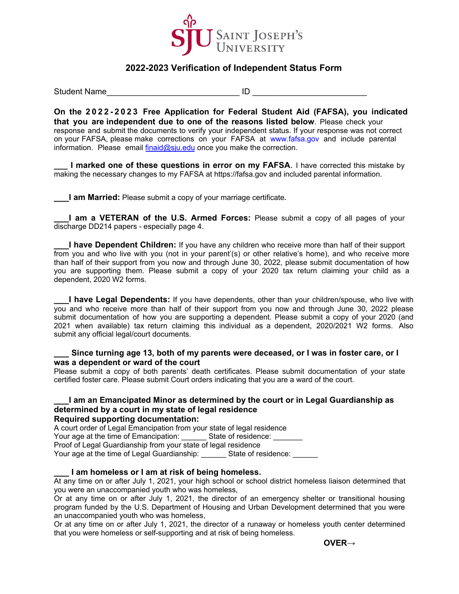

# **2022-2023 Verification of Independent Status Form**

Student Name **According to the Student Name** 

**On the 202 2 -202 3 Free Application for Federal Student Aid (FAFSA), you indicated that you are independent due to one of the reasons listed below**. Please check your response and submit the documents to verify your independent status. If your response was not correct on your FAFSA, please make corrections on your FAFSA at www.fafsa.gov and include parental information. Please email  $\frac{\text{final}}{\text{initial}}$  and once you make the correction.

**I marked one of these questions in error on my FAFSA.** I have corrected this mistake by making the necessary changes to my FAFSA at https://fafsa.gov and included parental information.

**\_\_\_I am Married:** Please submit a copy of your marriage certificate**.**

**I am a VETERAN of the U.S. Armed Forces:** Please submit a copy of all pages of your discharge DD214 papers - especially page 4.

**I have Dependent Children:** If you have any children who receive more than half of their support from you and who live with you (not in your parent'(s) or other relative's home), and who receive more than half of their support from you now and through June 30, 2022, please submit documentation of how you are supporting them. Please submit a copy of your 2020 tax return claiming your child as a dependent, 2020 W2 forms.

**\_\_\_I have Legal Dependents:** If you have dependents, other than your children/spouse, who live with you and who receive more than half of their support from you now and through June 30, 2022 please submit documentation of how you are supporting a dependent. Please submit a copy of your 2020 (and 2021 when available) tax return claiming this individual as a dependent, 2020/2021 W2 forms. Also submit any official legal/court documents.

## **\_\_\_ Since turning age 13, both of my parents were deceased, or I was in foster care, or I was a dependent or ward of the court**

Please submit a copy of both parents' death certificates. Please submit documentation of your state certified foster care. Please submit Court orders indicating that you are a ward of the court.

### **\_\_\_I am an Emancipated Minor as determined by the court or in Legal Guardianship as determined by a court in my state of legal residence Required supporting documentation:**

A court order of Legal Emancipation from your state of legal residence Your age at the time of Emancipation: \_\_\_\_\_\_\_ State of residence: \_ Proof of Legal Guardianship from your state of legal residence Your age at the time of Legal Guardianship: \_\_\_\_\_\_\_ State of residence: \_\_\_\_\_\_

#### **\_\_\_ I am homeless or I am at risk of being homeless.**

At any time on or after July 1, 2021, your high school or school district homeless liaison determined that you were an unaccompanied youth who was homeless,

Or at any time on or after July 1, 2021, the director of an emergency shelter or transitional housing program funded by the U.S. Department of Housing and Urban Development determined that you were an unaccompanied youth who was homeless,

Or at any time on or after July 1, 2021, the director of a runaway or homeless youth center determined that you were homeless or self-supporting and at risk of being homeless.

**OVER→**